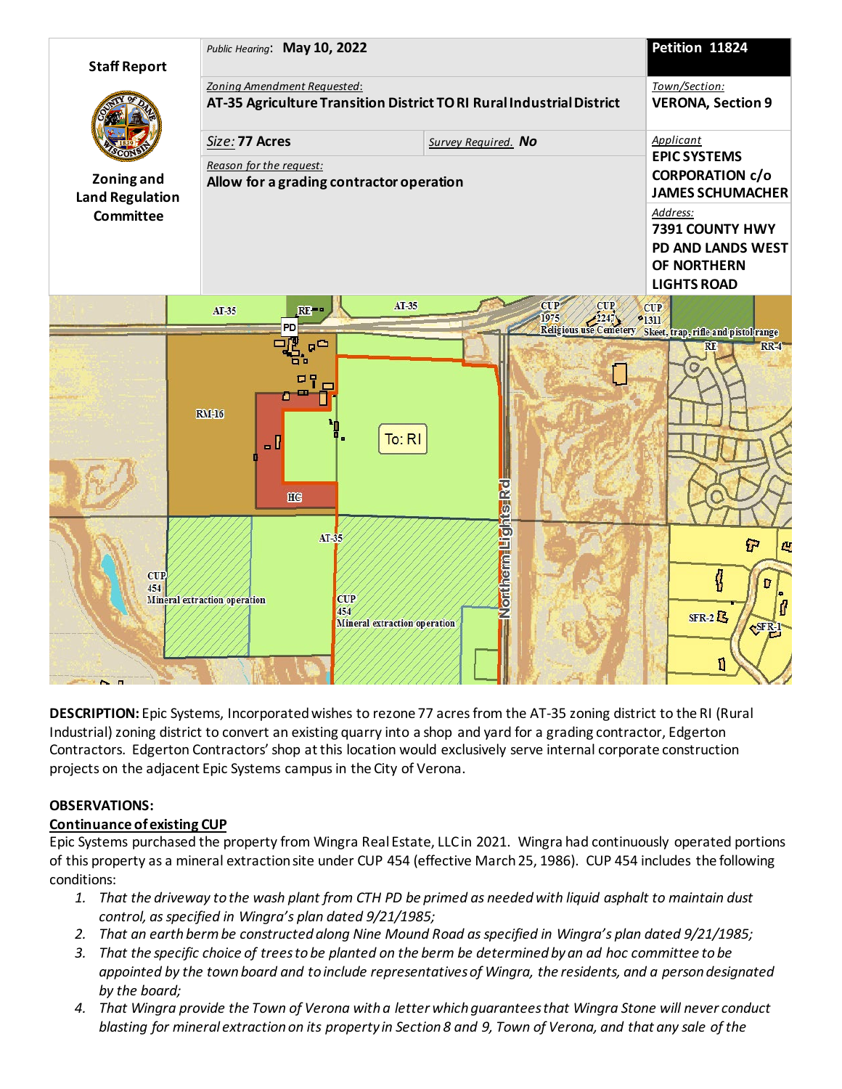

**DESCRIPTION:** Epic Systems, Incorporated wishes to rezone 77 acres from the AT-35 zoning district to the RI (Rural Industrial) zoning district to convert an existing quarry into a shop and yard for a grading contractor, Edgerton Contractors. Edgerton Contractors' shop at this location would exclusively serve internal corporate construction projects on the adjacent Epic Systems campus in the City of Verona.

# **OBSERVATIONS:**

# **Continuance of existing CUP**

Epic Systems purchased the property from Wingra Real Estate, LLC in 2021. Wingra had continuously operated portions of this property as a mineral extraction site under CUP 454 (effective March 25, 1986). CUP 454 includes the following conditions:

- *1. That the driveway to the wash plant from CTH PD be primed as needed with liquid asphalt to maintain dust control, as specified in Wingra's plan dated 9/21/1985;*
- *2. That an earth berm be constructed along Nine Mound Road as specified in Wingra's plan dated 9/21/1985;*
- *3. That the specific choice of trees to be planted on the berm be determined by an ad hoc committee to be appointed by the town board and to include representatives of Wingra, the residents, and a person designated by the board;*
- *4. That Wingra provide the Town of Verona with a letter which guarantees that Wingra Stone will never conduct blasting for mineral extraction on its property in Section 8 and 9, Town of Verona, and that any sale of the*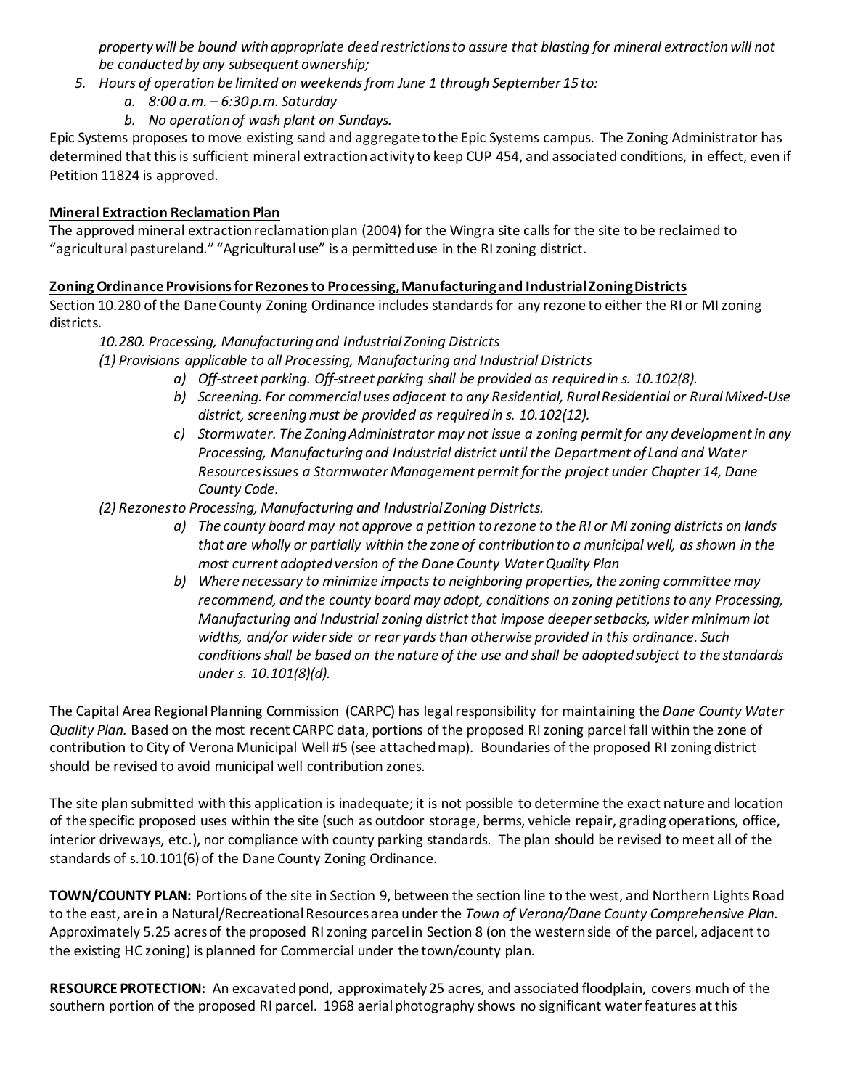*property will be bound with appropriate deed restrictions to assure that blasting for mineral extraction will not be conducted by any subsequent ownership;*

- *5. Hours of operation be limited on weekends from June 1 through September 15 to:*
	- *a. 8:00 a.m. – 6:30 p.m. Saturday*
	- *b. No operation of wash plant on Sundays.*

Epic Systems proposes to move existing sand and aggregate to the Epic Systems campus. The Zoning Administrator has determined that this is sufficient mineral extraction activity to keep CUP 454, and associated conditions, in effect, even if Petition 11824 is approved.

## **Mineral Extraction Reclamation Plan**

The approved mineral extraction reclamation plan (2004) for the Wingra site calls for the site to be reclaimed to "agricultural pastureland." "Agricultural use" is a permitted use in the RI zoning district.

### **Zoning Ordinance Provisions for Rezones to Processing, Manufacturing and Industrial ZoningDistricts**

Section 10.280 of the Dane County Zoning Ordinance includes standards for any rezone to either the RI or MI zoning districts.

### *10.280. Processing, Manufacturing and Industrial Zoning Districts*

*(1) Provisions applicable to all Processing, Manufacturing and Industrial Districts*

- *a) Off-street parking. Off-street parking shall be provided as required in s. 10.102(8).*
- *b) Screening. For commercial uses adjacent to any Residential, Rural Residential or RuralMixed-Use district, screening must be provided as required in s. 10.102(12).*
- *c) Stormwater. The Zoning Administrator may not issue a zoning permit for any developmentin any Processing, Manufacturing and Industrial district until the Department of Land and Water Resources issues a Stormwater Management permit for the project under Chapter 14, Dane County Code.*

### *(2) Rezones to Processing, Manufacturing and Industrial Zoning Districts.*

- *a) The county board may not approve a petition to rezone to the RI or MI zoning districts on lands*  that are wholly or partially within the zone of contribution to a municipal well, as shown in the *most current adopted version of the Dane County Water Quality Plan*
- *b) Where necessary to minimize impacts to neighboring properties, the zoning committee may recommend, and the county board may adopt, conditions on zoning petitions to any Processing, Manufacturing and Industrial zoning district that impose deeper setbacks, wider minimum lot widths, and/or wider side or rear yards than otherwise provided in this ordinance. Such conditions shall be based on the nature of the use and shall be adopted subject to the standards under s. 10.101(8)(d).*

The Capital Area Regional Planning Commission (CARPC) has legal responsibility for maintaining the *Dane County Water Quality Plan.* Based on the most recent CARPC data, portions of the proposed RI zoning parcel fall within the zone of contribution to City of Verona Municipal Well #5 (see attached map). Boundaries of the proposed RI zoning district should be revised to avoid municipal well contribution zones.

The site plan submitted with this application is inadequate; it is not possible to determine the exact nature and location of the specific proposed uses within the site (such as outdoor storage, berms, vehicle repair, grading operations, office, interior driveways, etc.), nor compliance with county parking standards. The plan should be revised to meet all of the standards of s.10.101(6) of the Dane County Zoning Ordinance.

**TOWN/COUNTY PLAN:** Portions of the site in Section 9, between the section line to the west, and Northern Lights Road to the east, are in a Natural/Recreational Resources area under the *Town of Verona/Dane County Comprehensive Plan.* Approximately 5.25 acres of the proposed RI zoning parcel in Section 8 (on the western side of the parcel, adjacent to the existing HC zoning) is planned for Commercial under the town/county plan.

**RESOURCE PROTECTION:** An excavated pond, approximately 25 acres, and associated floodplain, covers much of the southern portion of the proposed RI parcel. 1968 aerial photography shows no significant water features at this